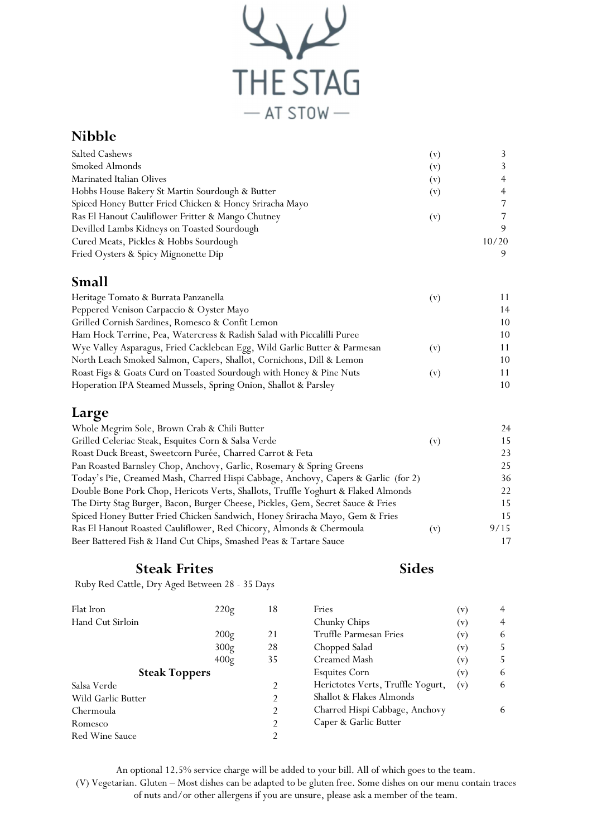

# Nibble

| Salted Cashews                                          | ( V )          |       |
|---------------------------------------------------------|----------------|-------|
| Smoked Almonds                                          | $(\mathrm{v})$ |       |
| Marinated Italian Olives                                | $(\rm v)$      | 4     |
| Hobbs House Bakery St Martin Sourdough & Butter         | $(\rm v)$      |       |
| Spiced Honey Butter Fried Chicken & Honey Sriracha Mayo |                |       |
| Ras El Hanout Cauliflower Fritter & Mango Chutney       | (v)            |       |
| Devilled Lambs Kidneys on Toasted Sourdough             |                | 9     |
| Cured Meats, Pickles & Hobbs Sourdough                  |                | 10/20 |
| Fried Oysters & Spicy Mignonette Dip                    |                |       |

# Small

| Heritage Tomato & Burrata Panzanella                                      | $\mathbf{[V]}$ |    |
|---------------------------------------------------------------------------|----------------|----|
| Peppered Venison Carpaccio & Oyster Mayo                                  |                | 14 |
| Grilled Cornish Sardines, Romesco & Confit Lemon                          |                | 10 |
| Ham Hock Terrine, Pea, Watercress & Radish Salad with Piccalilli Puree    |                | 10 |
| Wye Valley Asparagus, Fried Cacklebean Egg, Wild Garlic Butter & Parmesan | $\mathbf{v}$   | 11 |
| North Leach Smoked Salmon, Capers, Shallot, Cornichons, Dill & Lemon      |                | 10 |
| Roast Figs & Goats Curd on Toasted Sourdough with Honey & Pine Nuts       | $\mathbf{v}$   | 11 |
| Hoperation IPA Steamed Mussels, Spring Onion, Shallot & Parsley           |                | 10 |

# Large

| Whole Megrim Sole, Brown Crab & Chili Butter                                       |           | 24   |
|------------------------------------------------------------------------------------|-----------|------|
| Grilled Celeriac Steak, Esquites Corn & Salsa Verde                                | $(\rm v)$ | 15.  |
| Roast Duck Breast, Sweetcorn Purée, Charred Carrot & Feta                          |           | 23   |
| Pan Roasted Barnsley Chop, Anchovy, Garlic, Rosemary & Spring Greens               |           | 25   |
| Today's Pie, Creamed Mash, Charred Hispi Cabbage, Anchovy, Capers & Garlic (for 2) |           | 36   |
| Double Bone Pork Chop, Hericots Verts, Shallots, Truffle Yoghurt & Flaked Almonds  |           | 22   |
| The Dirty Stag Burger, Bacon, Burger Cheese, Pickles, Gem, Secret Sauce & Fries    |           | 15.  |
| Spiced Honey Butter Fried Chicken Sandwich, Honey Sriracha Mayo, Gem & Fries       |           | 15   |
| Ras El Hanout Roasted Cauliflower, Red Chicory, Almonds & Chermoula                | (v)       | 9/15 |
| Beer Battered Fish & Hand Cut Chips, Smashed Peas & Tartare Sauce                  |           |      |

### Steak Frites

#### Sides

Ruby Red Cattle, Dry Aged Between 28 - 35 Days

| 220g                 | 18             | Fries                             |                | $\overline{4}$ |
|----------------------|----------------|-----------------------------------|----------------|----------------|
|                      |                | Chunky Chips                      | $(\mathbf{v})$ | $\overline{4}$ |
| 200g                 | 21             | Truffle Parmesan Fries            | $(\mathbf{v})$ | 6              |
| 300g                 | 28             | Chopped Salad                     | $(\mathbf{v})$ | 5.             |
| 400g                 | 35             | Creamed Mash                      | (v)            | 5.             |
| <b>Steak Toppers</b> |                | <b>Esquites Corn</b>              | (v)            | 6              |
|                      | 2              | Herictotes Verts, Truffle Yogurt, | (v)            | 6              |
|                      | 2              | Shallot & Flakes Almonds          |                |                |
|                      | $\mathfrak{D}$ | Charred Hispi Cabbage, Anchovy    |                | 6              |
|                      | $\mathfrak{D}$ | Caper & Garlic Butter             |                |                |
|                      | 2              |                                   |                |                |
|                      |                |                                   |                | $(\rm v)$      |

An optional 12.5% service charge will be added to your bill. All of which goes to the team. (V) Vegetarian. Gluten – Most dishes can be adapted to be gluten free. Some dishes on our menu contain traces of nuts and/or other allergens if you are unsure, please ask a member of the team.